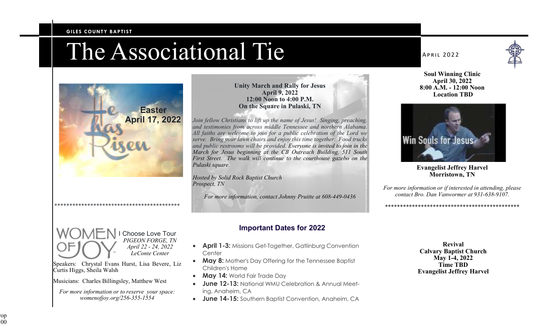### **GILES COUNTY BAPTIST**



\*\*\*\*\*\*\*\*\*\*\*\*\*\*\*\*\*\*\*\*\*\*\*\*\*\*\*\*\*\*\*\*\*\*\*\*\*\*\*\*\*\*

Speakers: Chrystal Evans Hurst, Lisa Bevere, Liz

*For more information or to reserve your space: womenofjoy.org/256-355-1554* 

Musicians: Charles Billingsley, Matthew West

Curtis Higgs, Sheila Walsh

Choose Love Tour *PIGEON FORGE, TN April 22 - 24, 2022 LeConte Center* 

### **Unity March and Rally for Jesus April 9, 2022 12:00 Noon to 4:00 P.M. On the Square in Pulaski, TN**

*Join fellow Christians to lift up the name of Jesus! Singing, preaching, and testimonies from across middle Tennessee and northern Alabama. All faiths are welcome to join for a public celebration of the Lord we serve. Bring your lawn chairs and enjoy this time together. Food trucks and public restrooms will be provided. Everyone is invited to join in the March for Jesus beginning at the CB Outreach Building, 511 South First Street. The walk will continue to the courthouse gazebo on the Pulaski square.* 

*Hosted by Solid Rock Baptist Church Prospect, TN* 

*For more information, contact Johnny Pruitte at 608-449-0436* 

# **Important Dates for 2022**

- **April 1-3: Missions Get-Together, Gatlinburg Convention Center**
- **May 8:** Mother's Day Offering for the Tennessee Baptist Children's Home
- **May 14:** World Fair Trade Day
- **June 12-13:** National WMU Celebration & Annual Meeting, Anaheim, CA
- **June 14-15:** Southern Baptist Convention, Anaheim, CA

### **APRIL 2022**



**Soul Winning Clinic April 30, 2022 8:00 A.M. - 12:00 Noon Location TBD** 



**Evangelist Jeffrey Harvel Morristown, TN** 

*For more information or if interested in attending, please contact Bro. Dan Vanwormer at 931-638-9107.* 

\*\*\*\*\*\*\*\*\*\*\*\*\*\*\*\*\*\*\*\*\*\*\*\*\*\*\*\*\*\*\*\*\*\*\*\*\*\*\*\*\*\*\*\*\*

**Revival Calvary Baptist Church May 1-4, 2022 Time TBD Evangelist Jeffrey Harvel**